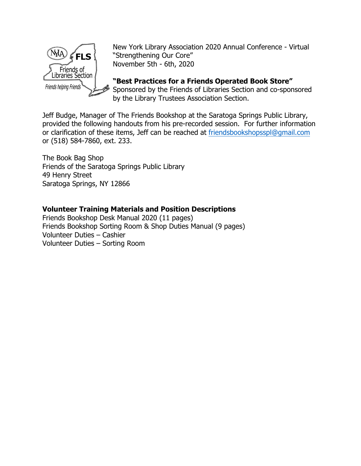

New York Library Association 2020 Annual Conference - Virtual "Strengthening Our Core" November 5th - 6th, 2020

**"Best Practices for a Friends Operated Book Store"**  Sponsored by the Friends of Libraries Section and co-sponsored by the Library Trustees Association Section.

Jeff Budge, Manager of The Friends Bookshop at the Saratoga Springs Public Library, provided the following handouts from his pre-recorded session. For further information or clarification of these items, Jeff can be reached at [friendsbookshopsspl@gmail.com](mailto:friendsbookshopsspl@gmail.com) or (518) 584-7860, ext. 233.

The Book Bag Shop Friends of the Saratoga Springs Public Library 49 Henry Street Saratoga Springs, NY 12866

#### **Volunteer Training Materials and Position Descriptions**

Friends Bookshop Desk Manual 2020 (11 pages) Friends Bookshop Sorting Room & Shop Duties Manual (9 pages) Volunteer Duties – Cashier Volunteer Duties – Sorting Room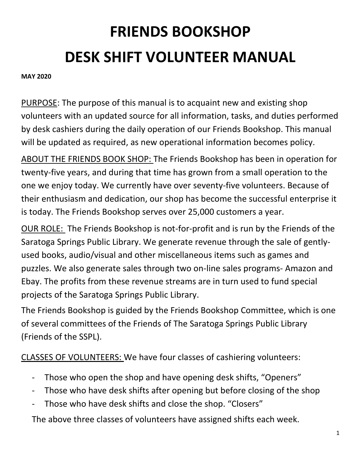# **FRIENDS BOOKSHOP DESK SHIFT VOLUNTEER MANUAL**

#### **MAY 2020**

PURPOSE: The purpose of this manual is to acquaint new and existing shop volunteers with an updated source for all information, tasks, and duties performed by desk cashiers during the daily operation of our Friends Bookshop. This manual will be updated as required, as new operational information becomes policy.

ABOUT THE FRIENDS BOOK SHOP: The Friends Bookshop has been in operation for twenty-five years, and during that time has grown from a small operation to the one we enjoy today. We currently have over seventy-five volunteers. Because of their enthusiasm and dedication, our shop has become the successful enterprise it is today. The Friends Bookshop serves over 25,000 customers a year.

OUR ROLE: The Friends Bookshop is not-for-profit and is run by the Friends of the Saratoga Springs Public Library. We generate revenue through the sale of gentlyused books, audio/visual and other miscellaneous items such as games and puzzles. We also generate sales through two on-line sales programs- Amazon and Ebay. The profits from these revenue streams are in turn used to fund special projects of the Saratoga Springs Public Library.

The Friends Bookshop is guided by the Friends Bookshop Committee, which is one of several committees of the Friends of The Saratoga Springs Public Library (Friends of the SSPL).

CLASSES OF VOLUNTEERS: We have four classes of cashiering volunteers:

- Those who open the shop and have opening desk shifts, "Openers"
- Those who have desk shifts after opening but before closing of the shop
- Those who have desk shifts and close the shop. "Closers"

The above three classes of volunteers have assigned shifts each week.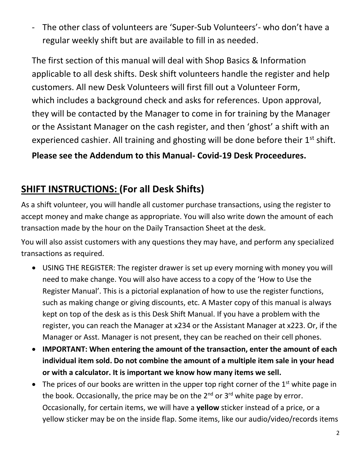- The other class of volunteers are 'Super-Sub Volunteers'- who don't have a regular weekly shift but are available to fill in as needed.

The first section of this manual will deal with Shop Basics & Information applicable to all desk shifts. Desk shift volunteers handle the register and help customers. All new Desk Volunteers will first fill out a Volunteer Form, which includes a background check and asks for references. Upon approval, they will be contacted by the Manager to come in for training by the Manager or the Assistant Manager on the cash register, and then 'ghost' a shift with an experienced cashier. All training and ghosting will be done before their 1<sup>st</sup> shift.

**Please see the Addendum to this Manual- Covid-19 Desk Proceedures.**

## **SHIFT INSTRUCTIONS: (For all Desk Shifts)**

As a shift volunteer, you will handle all customer purchase transactions, using the register to accept money and make change as appropriate. You will also write down the amount of each transaction made by the hour on the Daily Transaction Sheet at the desk.

You will also assist customers with any questions they may have, and perform any specialized transactions as required.

- USING THE REGISTER: The register drawer is set up every morning with money you will need to make change. You will also have access to a copy of the 'How to Use the Register Manual'. This is a pictorial explanation of how to use the register functions, such as making change or giving discounts, etc. A Master copy of this manual is always kept on top of the desk as is this Desk Shift Manual. If you have a problem with the register, you can reach the Manager at x234 or the Assistant Manager at x223. Or, if the Manager or Asst. Manager is not present, they can be reached on their cell phones.
- **IMPORTANT: When entering the amount of the transaction, enter the amount of each individual item sold. Do not combine the amount of a multiple item sale in your head or with a calculator. It is important we know how many items we sell.**
- The prices of our books are written in the upper top right corner of the  $1<sup>st</sup>$  white page in the book. Occasionally, the price may be on the  $2^{nd}$  or  $3^{rd}$  white page by error. Occasionally, for certain items, we will have a **yellow** sticker instead of a price, or a yellow sticker may be on the inside flap. Some items, like our audio/video/records items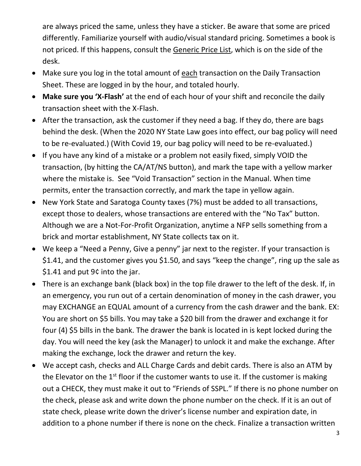are always priced the same, unless they have a sticker. Be aware that some are priced differently. Familiarize yourself with audio/visual standard pricing. Sometimes a book is not priced. If this happens, consult the Generic Price List, which is on the side of the desk.

- Make sure you log in the total amount of each transaction on the Daily Transaction Sheet. These are logged in by the hour, and totaled hourly.
- **Make sure you 'X-Flash'** at the end of each hour of your shift and reconcile the daily transaction sheet with the X-Flash.
- After the transaction, ask the customer if they need a bag. If they do, there are bags behind the desk. (When the 2020 NY State Law goes into effect, our bag policy will need to be re-evaluated.) (With Covid 19, our bag policy will need to be re-evaluated.)
- If you have any kind of a mistake or a problem not easily fixed, simply VOID the transaction, (by hitting the CA/AT/NS button), and mark the tape with a yellow marker where the mistake is. See "Void Transaction" section in the Manual. When time permits, enter the transaction correctly, and mark the tape in yellow again.
- New York State and Saratoga County taxes (7%) must be added to all transactions, except those to dealers, whose transactions are entered with the "No Tax" button. Although we are a Not-For-Profit Organization, anytime a NFP sells something from a brick and mortar establishment, NY State collects tax on it.
- We keep a "Need a Penny, Give a penny" jar next to the register. If your transaction is \$1.41, and the customer gives you \$1.50, and says "keep the change", ring up the sale as \$1.41 and put 9¢ into the jar.
- There is an exchange bank (black box) in the top file drawer to the left of the desk. If, in an emergency, you run out of a certain denomination of money in the cash drawer, you may EXCHANGE an EQUAL amount of a currency from the cash drawer and the bank. EX: You are short on \$5 bills. You may take a \$20 bill from the drawer and exchange it for four (4) \$5 bills in the bank. The drawer the bank is located in is kept locked during the day. You will need the key (ask the Manager) to unlock it and make the exchange. After making the exchange, lock the drawer and return the key.
- We accept cash, checks and ALL Charge Cards and debit cards. There is also an ATM by the Elevator on the  $1<sup>st</sup>$  floor if the customer wants to use it. If the customer is making out a CHECK, they must make it out to "Friends of SSPL." If there is no phone number on the check, please ask and write down the phone number on the check. If it is an out of state check, please write down the driver's license number and expiration date, in addition to a phone number if there is none on the check. Finalize a transaction written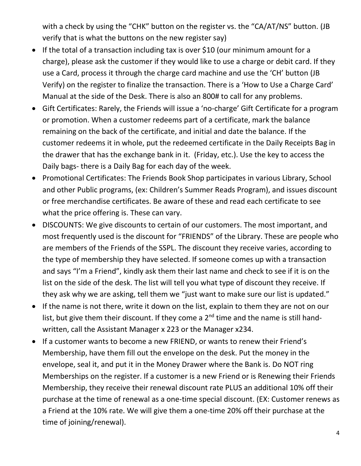with a check by using the "CHK" button on the register vs. the "CA/AT/NS" button. (JB verify that is what the buttons on the new register say)

- If the total of a transaction including tax is over \$10 (our minimum amount for a charge), please ask the customer if they would like to use a charge or debit card. If they use a Card, process it through the charge card machine and use the 'CH' button (JB Verify) on the register to finalize the transaction. There is a 'How to Use a Charge Card' Manual at the side of the Desk. There is also an 800# to call for any problems.
- Gift Certificates: Rarely, the Friends will issue a 'no-charge' Gift Certificate for a program or promotion. When a customer redeems part of a certificate, mark the balance remaining on the back of the certificate, and initial and date the balance. If the customer redeems it in whole, put the redeemed certificate in the Daily Receipts Bag in the drawer that has the exchange bank in it. (Friday, etc.). Use the key to access the Daily bags- there is a Daily Bag for each day of the week.
- Promotional Certificates: The Friends Book Shop participates in various Library, School and other Public programs, (ex: Children's Summer Reads Program), and issues discount or free merchandise certificates. Be aware of these and read each certificate to see what the price offering is. These can vary.
- DISCOUNTS: We give discounts to certain of our customers. The most important, and most frequently used is the discount for "FRIENDS" of the Library. These are people who are members of the Friends of the SSPL. The discount they receive varies, according to the type of membership they have selected. If someone comes up with a transaction and says "I'm a Friend", kindly ask them their last name and check to see if it is on the list on the side of the desk. The list will tell you what type of discount they receive. If they ask why we are asking, tell them we "just want to make sure our list is updated."
- If the name is not there, write it down on the list, explain to them they are not on our list, but give them their discount. If they come a  $2<sup>nd</sup>$  time and the name is still handwritten, call the Assistant Manager x 223 or the Manager x234.
- If a customer wants to become a new FRIEND, or wants to renew their Friend's Membership, have them fill out the envelope on the desk. Put the money in the envelope, seal it, and put it in the Money Drawer where the Bank is. Do NOT ring Memberships on the register. If a customer is a new Friend or is Renewing their Friends Membership, they receive their renewal discount rate PLUS an additional 10% off their purchase at the time of renewal as a one-time special discount. (EX: Customer renews as a Friend at the 10% rate. We will give them a one-time 20% off their purchase at the time of joining/renewal).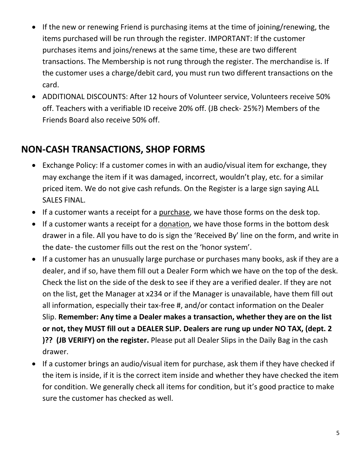- If the new or renewing Friend is purchasing items at the time of joining/renewing, the items purchased will be run through the register. IMPORTANT: If the customer purchases items and joins/renews at the same time, these are two different transactions. The Membership is not rung through the register. The merchandise is. If the customer uses a charge/debit card, you must run two different transactions on the card.
- ADDITIONAL DISCOUNTS: After 12 hours of Volunteer service, Volunteers receive 50% off. Teachers with a verifiable ID receive 20% off. (JB check- 25%?) Members of the Friends Board also receive 50% off.

#### **NON-CASH TRANSACTIONS, SHOP FORMS**

- Exchange Policy: If a customer comes in with an audio/visual item for exchange, they may exchange the item if it was damaged, incorrect, wouldn't play, etc. for a similar priced item. We do not give cash refunds. On the Register is a large sign saying ALL SALES FINAL.
- If a customer wants a receipt for a purchase, we have those forms on the desk top.
- If a customer wants a receipt for a donation, we have those forms in the bottom desk drawer in a file. All you have to do is sign the 'Received By' line on the form, and write in the date- the customer fills out the rest on the 'honor system'.
- If a customer has an unusually large purchase or purchases many books, ask if they are a dealer, and if so, have them fill out a Dealer Form which we have on the top of the desk. Check the list on the side of the desk to see if they are a verified dealer. If they are not on the list, get the Manager at x234 or if the Manager is unavailable, have them fill out all information, especially their tax-free #, and/or contact information on the Dealer Slip. **Remember: Any time a Dealer makes a transaction, whether they are on the list or not, they MUST fill out a DEALER SLIP. Dealers are rung up under NO TAX, (dept. 2 )?? (JB VERIFY) on the register.** Please put all Dealer Slips in the Daily Bag in the cash drawer.
- If a customer brings an audio/visual item for purchase, ask them if they have checked if the item is inside, if it is the correct item inside and whether they have checked the item for condition. We generally check all items for condition, but it's good practice to make sure the customer has checked as well.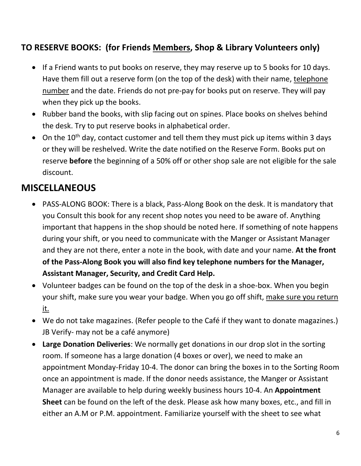#### **TO RESERVE BOOKS: (for Friends Members, Shop & Library Volunteers only)**

- If a Friend wants to put books on reserve, they may reserve up to 5 books for 10 days. Have them fill out a reserve form (on the top of the desk) with their name, telephone number and the date. Friends do not pre-pay for books put on reserve. They will pay when they pick up the books.
- Rubber band the books, with slip facing out on spines. Place books on shelves behind the desk. Try to put reserve books in alphabetical order.
- On the  $10^{th}$  day, contact customer and tell them they must pick up items within 3 days or they will be reshelved. Write the date notified on the Reserve Form. Books put on reserve **before** the beginning of a 50% off or other shop sale are not eligible for the sale discount.

## **MISCELLANEOUS**

- PASS-ALONG BOOK: There is a black, Pass-Along Book on the desk. It is mandatory that you Consult this book for any recent shop notes you need to be aware of. Anything important that happens in the shop should be noted here. If something of note happens during your shift, or you need to communicate with the Manger or Assistant Manager and they are not there, enter a note in the book, with date and your name. **At the front of the Pass-Along Book you will also find key telephone numbers for the Manager, Assistant Manager, Security, and Credit Card Help.**
- Volunteer badges can be found on the top of the desk in a shoe-box. When you begin your shift, make sure you wear your badge. When you go off shift, make sure you return it.
- We do not take magazines. (Refer people to the Café if they want to donate magazines.) JB Verify- may not be a café anymore)
- **Large Donation Deliveries**: We normally get donations in our drop slot in the sorting room. If someone has a large donation (4 boxes or over), we need to make an appointment Monday-Friday 10-4. The donor can bring the boxes in to the Sorting Room once an appointment is made. If the donor needs assistance, the Manger or Assistant Manager are available to help during weekly business hours 10-4. An **Appointment Sheet** can be found on the left of the desk. Please ask how many boxes, etc., and fill in either an A.M or P.M. appointment. Familiarize yourself with the sheet to see what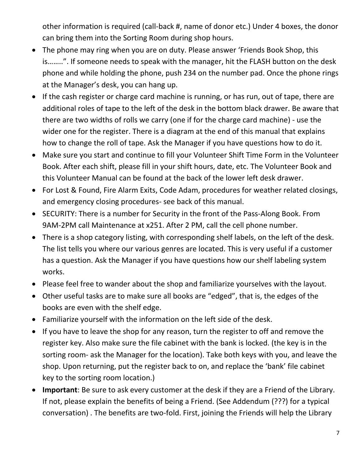other information is required (call-back #, name of donor etc.) Under 4 boxes, the donor can bring them into the Sorting Room during shop hours.

- The phone may ring when you are on duty. Please answer 'Friends Book Shop, this is……..". If someone needs to speak with the manager, hit the FLASH button on the desk phone and while holding the phone, push 234 on the number pad. Once the phone rings at the Manager's desk, you can hang up.
- If the cash register or charge card machine is running, or has run, out of tape, there are additional roles of tape to the left of the desk in the bottom black drawer. Be aware that there are two widths of rolls we carry (one if for the charge card machine) - use the wider one for the register. There is a diagram at the end of this manual that explains how to change the roll of tape. Ask the Manager if you have questions how to do it.
- Make sure you start and continue to fill your Volunteer Shift Time Form in the Volunteer Book. After each shift, please fill in your shift hours, date, etc. The Volunteer Book and this Volunteer Manual can be found at the back of the lower left desk drawer.
- For Lost & Found, Fire Alarm Exits, Code Adam, procedures for weather related closings, and emergency closing procedures- see back of this manual.
- SECURITY: There is a number for Security in the front of the Pass-Along Book. From 9AM-2PM call Maintenance at x251. After 2 PM, call the cell phone number.
- There is a shop category listing, with corresponding shelf labels, on the left of the desk. The list tells you where our various genres are located. This is very useful if a customer has a question. Ask the Manager if you have questions how our shelf labeling system works.
- Please feel free to wander about the shop and familiarize yourselves with the layout.
- Other useful tasks are to make sure all books are "edged", that is, the edges of the books are even with the shelf edge.
- Familiarize yourself with the information on the left side of the desk.
- If you have to leave the shop for any reason, turn the register to off and remove the register key. Also make sure the file cabinet with the bank is locked. (the key is in the sorting room- ask the Manager for the location). Take both keys with you, and leave the shop. Upon returning, put the register back to on, and replace the 'bank' file cabinet key to the sorting room location.)
- **Important**: Be sure to ask every customer at the desk if they are a Friend of the Library. If not, please explain the benefits of being a Friend. (See Addendum (???) for a typical conversation) . The benefits are two-fold. First, joining the Friends will help the Library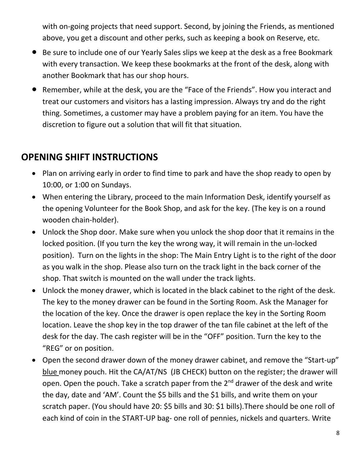with on-going projects that need support. Second, by joining the Friends, as mentioned above, you get a discount and other perks, such as keeping a book on Reserve, etc.

- Be sure to include one of our Yearly Sales slips we keep at the desk as a free Bookmark with every transaction. We keep these bookmarks at the front of the desk, along with another Bookmark that has our shop hours.
- Remember, while at the desk, you are the "Face of the Friends". How you interact and treat our customers and visitors has a lasting impression. Always try and do the right thing. Sometimes, a customer may have a problem paying for an item. You have the discretion to figure out a solution that will fit that situation.

#### **OPENING SHIFT INSTRUCTIONS**

- Plan on arriving early in order to find time to park and have the shop ready to open by 10:00, or 1:00 on Sundays.
- When entering the Library, proceed to the main Information Desk, identify yourself as the opening Volunteer for the Book Shop, and ask for the key. (The key is on a round wooden chain-holder).
- Unlock the Shop door. Make sure when you unlock the shop door that it remains in the locked position. (If you turn the key the wrong way, it will remain in the un-locked position). Turn on the lights in the shop: The Main Entry Light is to the right of the door as you walk in the shop. Please also turn on the track light in the back corner of the shop. That switch is mounted on the wall under the track lights.
- Unlock the money drawer, which is located in the black cabinet to the right of the desk. The key to the money drawer can be found in the Sorting Room. Ask the Manager for the location of the key. Once the drawer is open replace the key in the Sorting Room location. Leave the shop key in the top drawer of the tan file cabinet at the left of the desk for the day. The cash register will be in the "OFF" position. Turn the key to the "REG" or on position.
- Open the second drawer down of the money drawer cabinet, and remove the "Start-up" blue money pouch. Hit the CA/AT/NS (JB CHECK) button on the register; the drawer will open. Open the pouch. Take a scratch paper from the  $2<sup>nd</sup>$  drawer of the desk and write the day, date and 'AM'. Count the \$5 bills and the \$1 bills, and write them on your scratch paper. (You should have 20: \$5 bills and 30: \$1 bills).There should be one roll of each kind of coin in the START-UP bag- one roll of pennies, nickels and quarters. Write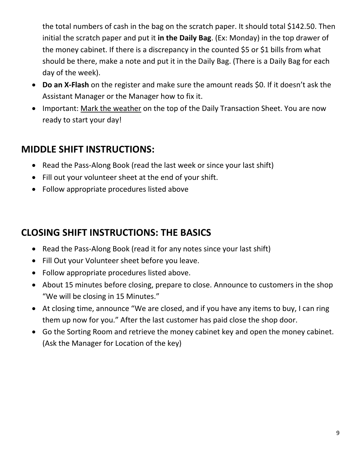the total numbers of cash in the bag on the scratch paper. It should total \$142.50. Then initial the scratch paper and put it **in the Daily Bag**. (Ex: Monday) in the top drawer of the money cabinet. If there is a discrepancy in the counted \$5 or \$1 bills from what should be there, make a note and put it in the Daily Bag. (There is a Daily Bag for each day of the week).

- **Do an X-Flash** on the register and make sure the amount reads \$0. If it doesn't ask the Assistant Manager or the Manager how to fix it.
- Important: Mark the weather on the top of the Daily Transaction Sheet. You are now ready to start your day!

#### **MIDDLE SHIFT INSTRUCTIONS:**

- Read the Pass-Along Book (read the last week or since your last shift)
- Fill out your volunteer sheet at the end of your shift.
- Follow appropriate procedures listed above

## **CLOSING SHIFT INSTRUCTIONS: THE BASICS**

- Read the Pass-Along Book (read it for any notes since your last shift)
- Fill Out your Volunteer sheet before you leave.
- Follow appropriate procedures listed above.
- About 15 minutes before closing, prepare to close. Announce to customers in the shop "We will be closing in 15 Minutes."
- At closing time, announce "We are closed, and if you have any items to buy, I can ring them up now for you." After the last customer has paid close the shop door.
- Go the Sorting Room and retrieve the money cabinet key and open the money cabinet. (Ask the Manager for Location of the key)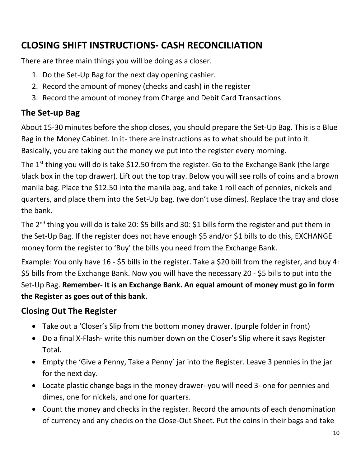# **CLOSING SHIFT INSTRUCTIONS- CASH RECONCILIATION**

There are three main things you will be doing as a closer.

- 1. Do the Set-Up Bag for the next day opening cashier.
- 2. Record the amount of money (checks and cash) in the register
- 3. Record the amount of money from Charge and Debit Card Transactions

## **The Set-up Bag**

About 15-30 minutes before the shop closes, you should prepare the Set-Up Bag. This is a Blue Bag in the Money Cabinet. In it- there are instructions as to what should be put into it. Basically, you are taking out the money we put into the register every morning.

The 1<sup>st</sup> thing you will do is take \$12.50 from the register. Go to the Exchange Bank (the large black box in the top drawer). Lift out the top tray. Below you will see rolls of coins and a brown manila bag. Place the \$12.50 into the manila bag, and take 1 roll each of pennies, nickels and quarters, and place them into the Set-Up bag. (we don't use dimes). Replace the tray and close the bank.

The 2<sup>nd</sup> thing you will do is take 20: \$5 bills and 30: \$1 bills form the register and put them in the Set-Up Bag. If the register does not have enough \$5 and/or \$1 bills to do this, EXCHANGE money form the register to 'Buy' the bills you need from the Exchange Bank.

Example: You only have 16 - \$5 bills in the register. Take a \$20 bill from the register, and buy 4: \$5 bills from the Exchange Bank. Now you will have the necessary 20 - \$5 bills to put into the Set-Up Bag. **Remember- It is an Exchange Bank. An equal amount of money must go in form the Register as goes out of this bank.**

#### **Closing Out The Register**

- Take out a 'Closer's Slip from the bottom money drawer. (purple folder in front)
- Do a final X-Flash- write this number down on the Closer's Slip where it says Register Total.
- Empty the 'Give a Penny, Take a Penny' jar into the Register. Leave 3 pennies in the jar for the next day.
- Locate plastic change bags in the money drawer- you will need 3- one for pennies and dimes, one for nickels, and one for quarters.
- Count the money and checks in the register. Record the amounts of each denomination of currency and any checks on the Close-Out Sheet. Put the coins in their bags and take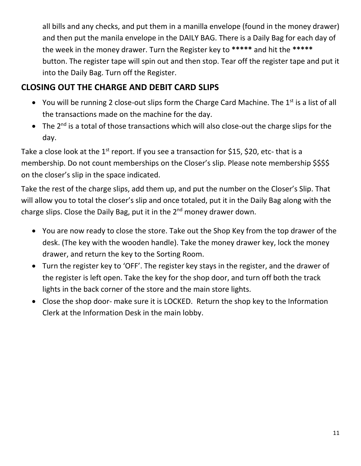all bills and any checks, and put them in a manilla envelope (found in the money drawer) and then put the manila envelope in the DAILY BAG. There is a Daily Bag for each day of the week in the money drawer. Turn the Register key to **\*\*\*\*\*** and hit the **\*\*\*\*\***  button. The register tape will spin out and then stop. Tear off the register tape and put it into the Daily Bag. Turn off the Register.

#### **CLOSING OUT THE CHARGE AND DEBIT CARD SLIPS**

- You will be running 2 close-out slips form the Charge Card Machine. The  $1<sup>st</sup>$  is a list of all the transactions made on the machine for the day.
- The 2<sup>nd</sup> is a total of those transactions which will also close-out the charge slips for the day.

Take a close look at the  $1^{st}$  report. If you see a transaction for \$15, \$20, etc- that is a membership. Do not count memberships on the Closer's slip. Please note membership \$\$\$\$ on the closer's slip in the space indicated.

Take the rest of the charge slips, add them up, and put the number on the Closer's Slip. That will allow you to total the closer's slip and once totaled, put it in the Daily Bag along with the charge slips. Close the Daily Bag, put it in the  $2<sup>nd</sup>$  money drawer down.

- You are now ready to close the store. Take out the Shop Key from the top drawer of the desk. (The key with the wooden handle). Take the money drawer key, lock the money drawer, and return the key to the Sorting Room.
- Turn the register key to 'OFF'. The register key stays in the register, and the drawer of the register is left open. Take the key for the shop door, and turn off both the track lights in the back corner of the store and the main store lights.
- Close the shop door- make sure it is LOCKED. Return the shop key to the Information Clerk at the Information Desk in the main lobby.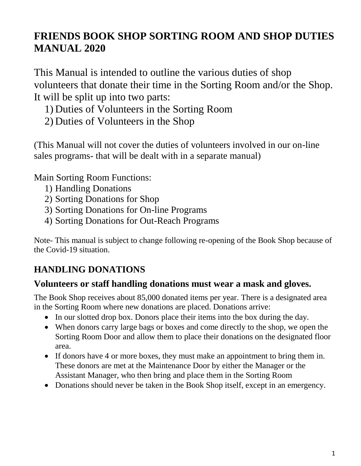# **FRIENDS BOOK SHOP SORTING ROOM AND SHOP DUTIES MANUAL 2020**

This Manual is intended to outline the various duties of shop volunteers that donate their time in the Sorting Room and/or the Shop. It will be split up into two parts:

- 1) Duties of Volunteers in the Sorting Room
- 2) Duties of Volunteers in the Shop

(This Manual will not cover the duties of volunteers involved in our on-line sales programs- that will be dealt with in a separate manual)

Main Sorting Room Functions:

- 1) Handling Donations
- 2) Sorting Donations for Shop
- 3) Sorting Donations for On-line Programs
- 4) Sorting Donations for Out-Reach Programs

Note- This manual is subject to change following re-opening of the Book Shop because of the Covid-19 situation.

# **HANDLING DONATIONS**

#### **Volunteers or staff handling donations must wear a mask and gloves.**

The Book Shop receives about 85,000 donated items per year. There is a designated area in the Sorting Room where new donations are placed. Donations arrive:

- In our slotted drop box. Donors place their items into the box during the day.
- When donors carry large bags or boxes and come directly to the shop, we open the Sorting Room Door and allow them to place their donations on the designated floor area.
- If donors have 4 or more boxes, they must make an appointment to bring them in. These donors are met at the Maintenance Door by either the Manager or the Assistant Manager, who then bring and place them in the Sorting Room
- Donations should never be taken in the Book Shop itself, except in an emergency.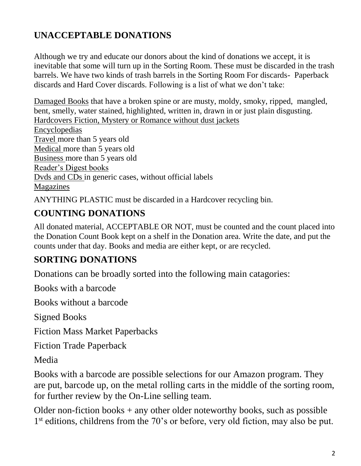#### **UNACCEPTABLE DONATIONS**

Although we try and educate our donors about the kind of donations we accept, it is inevitable that some will turn up in the Sorting Room. These must be discarded in the trash barrels. We have two kinds of trash barrels in the Sorting Room For discards- Paperback discards and Hard Cover discards. Following is a list of what we don't take:

Damaged Books that have a broken spine or are musty, moldy, smoky, ripped, mangled, bent, smelly, water stained, highlighted, written in, drawn in or just plain disgusting. Hardcovers Fiction, Mystery or Romance without dust jackets Encyclopedias Travel more than 5 years old Medical more than 5 years old Business more than 5 years old Reader's Digest books Dvds and CDs in generic cases, without official labels Magazines

ANYTHING PLASTIC must be discarded in a Hardcover recycling bin.

## **COUNTING DONATIONS**

All donated material, ACCEPTABLE OR NOT, must be counted and the count placed into the Donation Count Book kept on a shelf in the Donation area. Write the date, and put the counts under that day. Books and media are either kept, or are recycled.

#### **SORTING DONATIONS**

Donations can be broadly sorted into the following main catagories:

Books with a barcode

Books without a barcode

Signed Books

Fiction Mass Market Paperbacks

Fiction Trade Paperback

Media

Books with a barcode are possible selections for our Amazon program. They are put, barcode up, on the metal rolling carts in the middle of the sorting room, for further review by the On-Line selling team.

Older non-fiction books  $+$  any other older noteworthy books, such as possible 1<sup>st</sup> editions, childrens from the 70's or before, very old fiction, may also be put.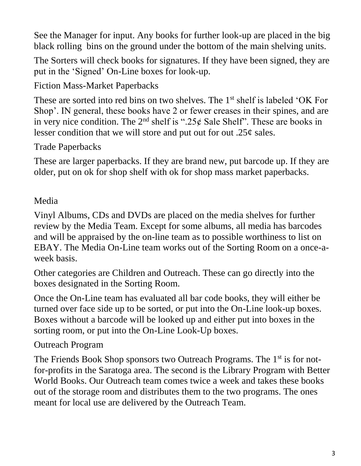See the Manager for input. Any books for further look-up are placed in the big black rolling bins on the ground under the bottom of the main shelving units.

The Sorters will check books for signatures. If they have been signed, they are put in the 'Signed' On-Line boxes for look-up.

Fiction Mass-Market Paperbacks

These are sorted into red bins on two shelves. The 1<sup>st</sup> shelf is labeled 'OK For Shop'. IN general, these books have 2 or fewer creases in their spines, and are in very nice condition. The  $2<sup>nd</sup>$  shelf is ".25 $\epsilon$  Sale Shelf". These are books in lesser condition that we will store and put out for out .25¢ sales.

Trade Paperbacks

These are larger paperbacks. If they are brand new, put barcode up. If they are older, put on ok for shop shelf with ok for shop mass market paperbacks.

Media

Vinyl Albums, CDs and DVDs are placed on the media shelves for further review by the Media Team. Except for some albums, all media has barcodes and will be appraised by the on-line team as to possible worthiness to list on EBAY. The Media On-Line team works out of the Sorting Room on a once-aweek basis.

Other categories are Children and Outreach. These can go directly into the boxes designated in the Sorting Room.

Once the On-Line team has evaluated all bar code books, they will either be turned over face side up to be sorted, or put into the On-Line look-up boxes. Boxes without a barcode will be looked up and either put into boxes in the sorting room, or put into the On-Line Look-Up boxes.

Outreach Program

The Friends Book Shop sponsors two Outreach Programs. The 1<sup>st</sup> is for notfor-profits in the Saratoga area. The second is the Library Program with Better World Books. Our Outreach team comes twice a week and takes these books out of the storage room and distributes them to the two programs. The ones meant for local use are delivered by the Outreach Team.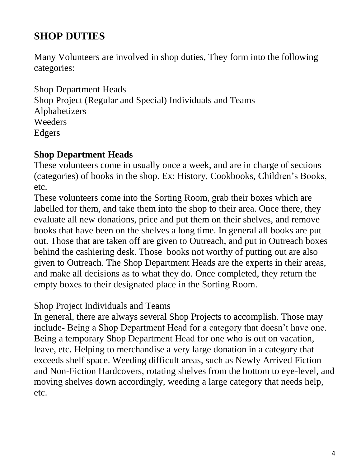# **SHOP DUTIES**

Many Volunteers are involved in shop duties, They form into the following categories:

Shop Department Heads Shop Project (Regular and Special) Individuals and Teams Alphabetizers Weeders Edgers

#### **Shop Department Heads**

These volunteers come in usually once a week, and are in charge of sections (categories) of books in the shop. Ex: History, Cookbooks, Children's Books, etc.

These volunteers come into the Sorting Room, grab their boxes which are labelled for them, and take them into the shop to their area. Once there, they evaluate all new donations, price and put them on their shelves, and remove books that have been on the shelves a long time. In general all books are put out. Those that are taken off are given to Outreach, and put in Outreach boxes behind the cashiering desk. Those books not worthy of putting out are also given to Outreach. The Shop Department Heads are the experts in their areas, and make all decisions as to what they do. Once completed, they return the empty boxes to their designated place in the Sorting Room.

Shop Project Individuals and Teams

In general, there are always several Shop Projects to accomplish. Those may include- Being a Shop Department Head for a category that doesn't have one. Being a temporary Shop Department Head for one who is out on vacation, leave, etc. Helping to merchandise a very large donation in a category that exceeds shelf space. Weeding difficult areas, such as Newly Arrived Fiction and Non-Fiction Hardcovers, rotating shelves from the bottom to eye-level, and moving shelves down accordingly, weeding a large category that needs help, etc.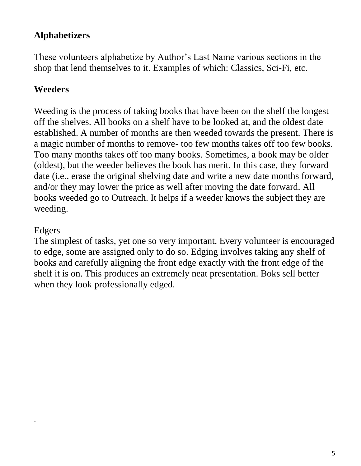#### **Alphabetizers**

These volunteers alphabetize by Author's Last Name various sections in the shop that lend themselves to it. Examples of which: Classics, Sci-Fi, etc.

#### **Weeders**

Weeding is the process of taking books that have been on the shelf the longest off the shelves. All books on a shelf have to be looked at, and the oldest date established. A number of months are then weeded towards the present. There is a magic number of months to remove- too few months takes off too few books. Too many months takes off too many books. Sometimes, a book may be older (oldest), but the weeder believes the book has merit. In this case, they forward date (i.e.. erase the original shelving date and write a new date months forward, and/or they may lower the price as well after moving the date forward. All books weeded go to Outreach. It helps if a weeder knows the subject they are weeding.

#### Edgers

.

The simplest of tasks, yet one so very important. Every volunteer is encouraged to edge, some are assigned only to do so. Edging involves taking any shelf of books and carefully aligning the front edge exactly with the front edge of the shelf it is on. This produces an extremely neat presentation. Boks sell better when they look professionally edged.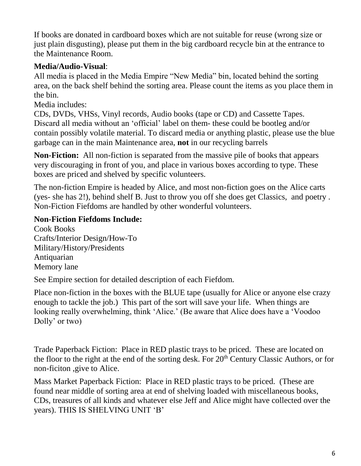If books are donated in cardboard boxes which are not suitable for reuse (wrong size or just plain disgusting), please put them in the big cardboard recycle bin at the entrance to the Maintenance Room.

#### **Media/Audio-Visual**:

All media is placed in the Media Empire "New Media" bin, located behind the sorting area, on the back shelf behind the sorting area. Please count the items as you place them in the bin.

Media includes:

CDs, DVDs, VHSs, Vinyl records, Audio books (tape or CD) and Cassette Tapes. Discard all media without an 'official' label on them- these could be bootleg and/or contain possibly volatile material. To discard media or anything plastic, please use the blue garbage can in the main Maintenance area, **not** in our recycling barrels

**Non-Fiction:** All non-fiction is separated from the massive pile of books that appears very discouraging in front of you, and place in various boxes according to type. These boxes are priced and shelved by specific volunteers.

The non-fiction Empire is headed by Alice, and most non-fiction goes on the Alice carts (yes- she has 2!), behind shelf B. Just to throw you off she does get Classics, and poetry . Non-Fiction Fiefdoms are handled by other wonderful volunteers.

#### **Non-Fiction Fiefdoms Include:**

Cook Books Crafts/Interior Design/How-To Military/History/Presidents Antiquarian Memory lane

See Empire section for detailed description of each Fiefdom.

Place non-fiction in the boxes with the BLUE tape (usually for Alice or anyone else crazy enough to tackle the job.) This part of the sort will save your life. When things are looking really overwhelming, think 'Alice.' (Be aware that Alice does have a 'Voodoo Dolly' or two)

Trade Paperback Fiction: Place in RED plastic trays to be priced. These are located on the floor to the right at the end of the sorting desk. For 20<sup>th</sup> Century Classic Authors, or for non-ficiton ,give to Alice.

Mass Market Paperback Fiction: Place in RED plastic trays to be priced. (These are found near middle of sorting area at end of shelving loaded with miscellaneous books, CDs, treasures of all kinds and whatever else Jeff and Alice might have collected over the years). THIS IS SHELVING UNIT 'B'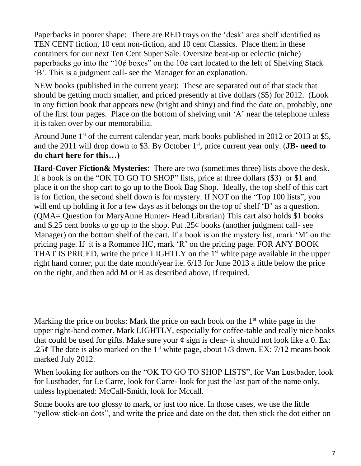Paperbacks in poorer shape: There are RED trays on the 'desk' area shelf identified as TEN CENT fiction, 10 cent non-fiction, and 10 cent Classics. Place them in these containers for our next Ten Cent Super Sale. Oversize beat-up or eclectic (niche) paperbacks go into the "10 $\phi$  boxes" on the 10 $\phi$  cart located to the left of Shelving Stack 'B'. This is a judgment call- see the Manager for an explanation.

NEW books (published in the current year): These are separated out of that stack that should be getting much smaller, and priced presently at five dollars (\$5) for 2012. (Look in any fiction book that appears new (bright and shiny) and find the date on, probably, one of the first four pages. Place on the bottom of shelving unit 'A' near the telephone unless it is taken over by our memorabilia.

Around June  $1<sup>st</sup>$  of the current calendar year, mark books published in 2012 or 2013 at \$5, and the 2011 will drop down to \$3. By October 1st, price current year only. (**JB- need to do chart here for this…)**

**Hard-Cover Fiction& Mysteries**: There are two (sometimes three) lists above the desk. If a book is on the "OK TO GO TO SHOP" lists, price at three dollars (\$3) or \$1 and place it on the shop cart to go up to the Book Bag Shop. Ideally, the top shelf of this cart is for fiction, the second shelf down is for mystery. If NOT on the "Top 100 lists", you will end up holding it for a few days as it belongs on the top of shelf 'B' as a question. (QMA= Question for MaryAnne Hunter- Head Librarian) This cart also holds \$1 books and \$.25 cent books to go up to the shop. Put  $.25¢$  books (another judgment call- see Manager) on the bottom shelf of the cart. If a book is on the mystery list, mark 'M' on the pricing page. If it is a Romance HC, mark 'R' on the pricing page. FOR ANY BOOK THAT IS PRICED, write the price LIGHTLY on the 1<sup>st</sup> white page available in the upper right hand corner, put the date month/year i.e. 6/13 for June 2013 a little below the price on the right, and then add M or R as described above, if required.

Marking the price on books: Mark the price on each book on the  $1<sup>st</sup>$  white page in the upper right-hand corner. Mark LIGHTLY, especially for coffee-table and really nice books that could be used for gifts. Make sure your  $\varphi$  sign is clear- it should not look like a 0. Ex: .25¢ The date is also marked on the 1<sup>st</sup> white page, about  $1/3$  down. EX:  $7/12$  means book marked July 2012.

When looking for authors on the "OK TO GO TO SHOP LISTS", for Van Lustbader, look for Lustbader, for Le Carre, look for Carre- look for just the last part of the name only, unless hyphenated: McCall-Smith, look for Mccall.

Some books are too glossy to mark, or just too nice. In those cases, we use the little "yellow stick-on dots", and write the price and date on the dot, then stick the dot either on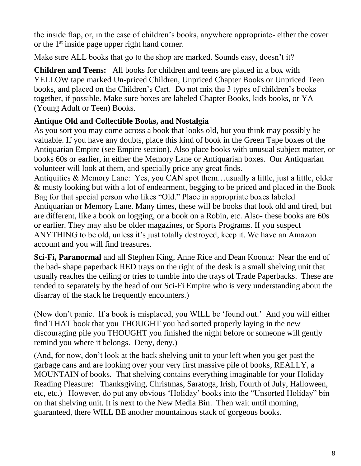the inside flap, or, in the case of children's books, anywhere appropriate- either the cover or the 1<sup>st</sup> inside page upper right hand corner.

Make sure ALL books that go to the shop are marked. Sounds easy, doesn't it?

**Children and Teens:** All books for children and teens are placed in a box with YELLOW tape marked Un-priced Children, Unpriced Chapter Books or Unpriced Teen books, and placed on the Children's Cart. Do not mix the 3 types of children's books together, if possible. Make sure boxes are labeled Chapter Books, kids books, or YA (Young Adult or Teen) Books.

#### **Antique Old and Collectible Books, and Nostalgia**

As you sort you may come across a book that looks old, but you think may possibly be valuable. If you have any doubts, place this kind of book in the Green Tape boxes of the Antiquarian Empire (see Empire section). Also place books with unusual subject matter, or books 60s or earlier, in either the Memory Lane or Antiquarian boxes. Our Antiquarian volunteer will look at them, and specially price any great finds.

Antiquities & Memory Lane: Yes, you CAN spot them…usually a little, just a little, older & musty looking but with a lot of endearment, begging to be priced and placed in the Book Bag for that special person who likes "Old." Place in appropriate boxes labeled Antiquarian or Memory Lane. Many times, these will be books that look old and tired, but are different, like a book on logging, or a book on a Robin, etc. Also- these books are 60s or earlier. They may also be older magazines, or Sports Programs. If you suspect ANYTHING to be old, unless it's just totally destroyed, keep it. We have an Amazon account and you will find treasures.

**Sci-Fi, Paranormal** and all Stephen King, Anne Rice and Dean Koontz: Near the end of the bad- shape paperback RED trays on the right of the desk is a small shelving unit that usually reaches the ceiling or tries to tumble into the trays of Trade Paperbacks. These are tended to separately by the head of our Sci-Fi Empire who is very understanding about the disarray of the stack he frequently encounters.)

(Now don't panic. If a book is misplaced, you WILL be 'found out.' And you will either find THAT book that you THOUGHT you had sorted properly laying in the new discouraging pile you THOUGHT you finished the night before or someone will gently remind you where it belongs. Deny, deny.)

(And, for now, don't look at the back shelving unit to your left when you get past the garbage cans and are looking over your very first massive pile of books, REALLY, a MOUNTAIN of books. That shelving contains everything imaginable for your Holiday Reading Pleasure: Thanksgiving, Christmas, Saratoga, Irish, Fourth of July, Halloween, etc, etc.) However, do put any obvious 'Holiday' books into the "Unsorted Holiday" bin on that shelving unit. It is next to the New Media Bin. Then wait until morning, guaranteed, there WILL BE another mountainous stack of gorgeous books.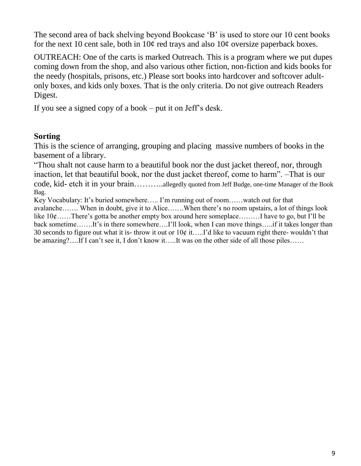The second area of back shelving beyond Bookcase 'B' is used to store our 10 cent books for the next 10 cent sale, both in  $10¢$  red trays and also  $10¢$  oversize paperback boxes.

OUTREACH: One of the carts is marked Outreach. This is a program where we put dupes coming down from the shop, and also various other fiction, non-fiction and kids books for the needy (hospitals, prisons, etc.) Please sort books into hardcover and softcover adultonly boxes, and kids only boxes. That is the only criteria. Do not give outreach Readers Digest.

If you see a signed copy of a book – put it on Jeff's desk.

#### **Sorting**

This is the science of arranging, grouping and placing massive numbers of books in the basement of a library.

"Thou shalt not cause harm to a beautiful book nor the dust jacket thereof, nor, through inaction, let that beautiful book, nor the dust jacket thereof, come to harm". –That is our code, kid- etch it in your brain………..allegedly quoted from Jeff Budge, one-time Manager of the Book Bag.

Key Vocabulary: It's buried somewhere….. I'm running out of room……watch out for that avalanche……. When in doubt, give it to Alice…….When there's no room upstairs, a lot of things look like  $10¢$ ……There's gotta be another empty box around here someplace………I have to go, but I'll be back sometime…….It's in there somewhere….I'll look, when I can move things…..if it takes longer than 30 seconds to figure out what it is-throw it out or  $10¢$  it…..I'd like to vacuum right there-wouldn't that be amazing?.....If I can't see it, I don't know it…..It was on the other side of all those piles……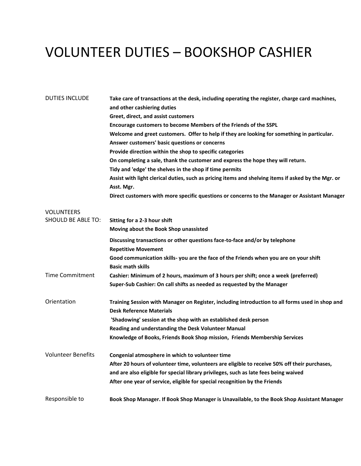# VOLUNTEER DUTIES – BOOKSHOP CASHIER

| <b>DUTIES INCLUDE</b>     | Take care of transactions at the desk, including operating the register, charge card machines,<br>and other cashiering duties      |
|---------------------------|------------------------------------------------------------------------------------------------------------------------------------|
|                           | Greet, direct, and assist customers                                                                                                |
|                           | Encourage customers to become Members of the Friends of the SSPL                                                                   |
|                           | Welcome and greet customers. Offer to help if they are looking for something in particular.                                        |
|                           | Answer customers' basic questions or concerns                                                                                      |
|                           | Provide direction within the shop to specific categories                                                                           |
|                           | On completing a sale, thank the customer and express the hope they will return.                                                    |
|                           | Tidy and 'edge' the shelves in the shop if time permits                                                                            |
|                           | Assist with light clerical duties, such as pricing items and shelving items if asked by the Mgr. or                                |
|                           | Asst. Mgr.                                                                                                                         |
|                           | Direct customers with more specific questions or concerns to the Manager or Assistant Manager                                      |
| <b>VOLUNTEERS</b>         |                                                                                                                                    |
| <b>SHOULD BE ABLE TO:</b> | Sitting for a 2-3 hour shift                                                                                                       |
|                           | Moving about the Book Shop unassisted                                                                                              |
|                           | Discussing transactions or other questions face-to-face and/or by telephone<br><b>Repetitive Movement</b>                          |
|                           | Good communication skills- you are the face of the Friends when you are on your shift                                              |
|                           | <b>Basic math skills</b>                                                                                                           |
| <b>Time Commitment</b>    | Cashier: Minimum of 2 hours, maximum of 3 hours per shift; once a week (preferred)                                                 |
|                           | Super-Sub Cashier: On call shifts as needed as requested by the Manager                                                            |
| Orientation               | Training Session with Manager on Register, including introduction to all forms used in shop and<br><b>Desk Reference Materials</b> |
|                           | 'Shadowing' session at the shop with an established desk person                                                                    |
|                           | Reading and understanding the Desk Volunteer Manual                                                                                |
|                           | Knowledge of Books, Friends Book Shop mission, Friends Membership Services                                                         |
| <b>Volunteer Benefits</b> | Congenial atmosphere in which to volunteer time                                                                                    |
|                           | After 20 hours of volunteer time, volunteers are eligible to receive 50% off their purchases,                                      |
|                           | and are also eligible for special library privileges, such as late fees being waived                                               |
|                           | After one year of service, eligible for special recognition by the Friends                                                         |
| Responsible to            | Book Shop Manager. If Book Shop Manager is Unavailable, to the Book Shop Assistant Manager                                         |